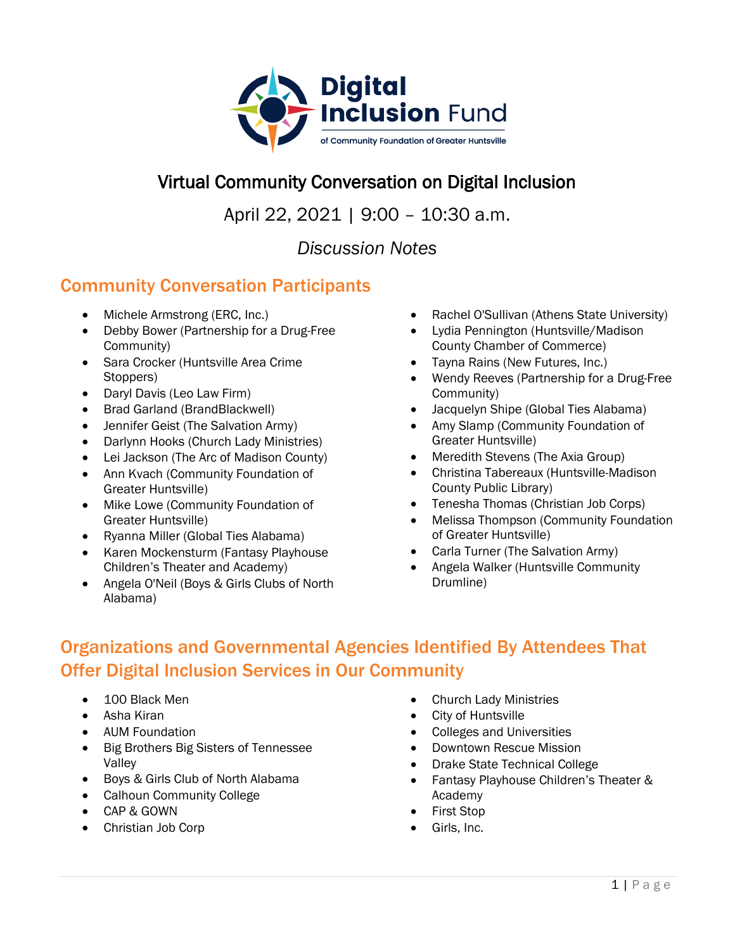

### Virtual Community Conversation on Digital Inclusion

April 22, 2021 | 9:00 – 10:30 a.m.

*Discussion Notes*

#### Community Conversation Participants

- Michele Armstrong (ERC, Inc.)
- Debby Bower (Partnership for a Drug-Free Community)
- Sara Crocker (Huntsville Area Crime Stoppers)
- Daryl Davis (Leo Law Firm)
- Brad Garland (BrandBlackwell)
- Jennifer Geist (The Salvation Army)
- Darlynn Hooks (Church Lady Ministries)
- Lei Jackson (The Arc of Madison County)
- Ann Kvach (Community Foundation of Greater Huntsville)
- Mike Lowe (Community Foundation of Greater Huntsville)
- Ryanna Miller (Global Ties Alabama)
- Karen Mockensturm (Fantasy Playhouse Children's Theater and Academy)
- Angela O'Neil (Boys & Girls Clubs of North Alabama)
- Rachel O'Sullivan (Athens State University)
- Lydia Pennington (Huntsville/Madison County Chamber of Commerce)
- Tayna Rains (New Futures, Inc.)
- Wendy Reeves (Partnership for a Drug-Free Community)
- Jacquelyn Shipe (Global Ties Alabama)
- Amy Slamp (Community Foundation of Greater Huntsville)
- Meredith Stevens (The Axia Group)
- Christina Tabereaux (Huntsville-Madison County Public Library)
- Tenesha Thomas (Christian Job Corps)
- Melissa Thompson (Community Foundation of Greater Huntsville)
- Carla Turner (The Salvation Army)
- Angela Walker (Huntsville Community Drumline)

# Organizations and Governmental Agencies Identified By Attendees That Offer Digital Inclusion Services in Our Community

- 100 Black Men
- Asha Kiran
- AUM Foundation
- Big Brothers Big Sisters of Tennessee Valley
- Boys & Girls Club of North Alabama
- Calhoun Community College
- CAP & GOWN
- Christian Job Corp
- Church Lady Ministries
- City of Huntsville
- Colleges and Universities
- Downtown Rescue Mission
- Drake State Technical College
- Fantasy Playhouse Children's Theater & Academy
- First Stop
- Girls, Inc.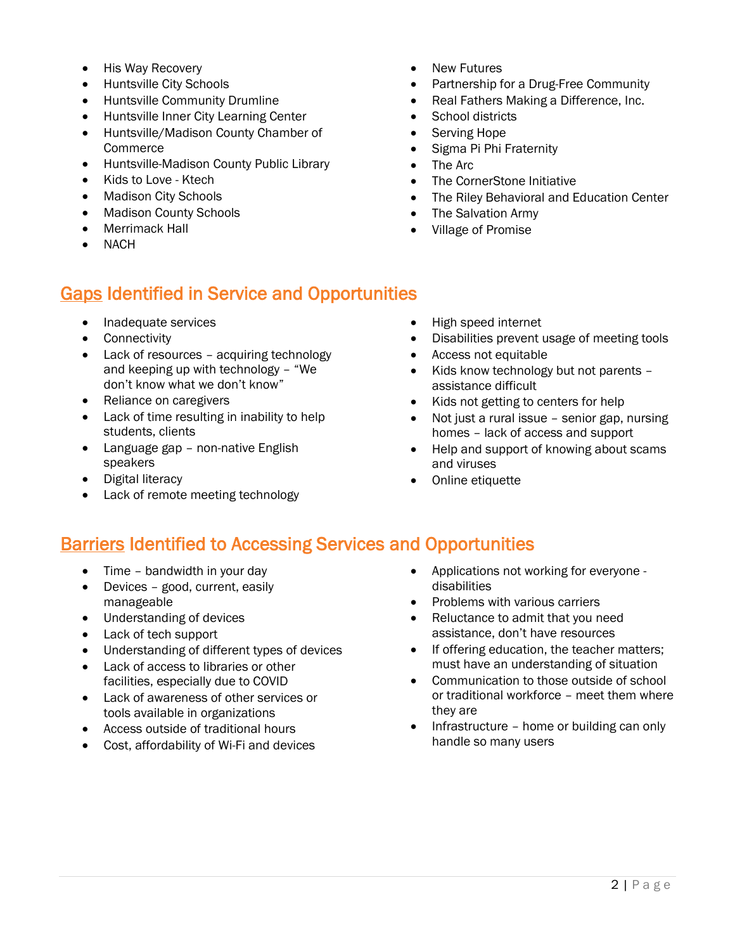- His Way Recovery
- Huntsville City Schools
- Huntsville Community Drumline
- Huntsville Inner City Learning Center
- Huntsville/Madison County Chamber of Commerce
- Huntsville-Madison County Public Library
- Kids to Love Ktech
- Madison City Schools
- Madison County Schools
- Merrimack Hall
- **NACH**

### Gaps Identified in Service and Opportunities

- Inadequate services
- Connectivity
- Lack of resources acquiring technology and keeping up with technology – "We don't know what we don't know"
- Reliance on caregivers
- Lack of time resulting in inability to help students, clients
- Language gap non-native English speakers
- Digital literacy
- Lack of remote meeting technology
- New Futures
- Partnership for a Drug-Free Community
- Real Fathers Making a Difference, Inc.
- School districts
- Serving Hope
- Sigma Pi Phi Fraternity
- The Arc
- The CornerStone Initiative
- The Riley Behavioral and Education Center
- The Salvation Army
- Village of Promise
- High speed internet
- Disabilities prevent usage of meeting tools
- Access not equitable
- Kids know technology but not parents assistance difficult
- Kids not getting to centers for help
- Not just a rural issue senior gap, nursing homes – lack of access and support
- Help and support of knowing about scams and viruses
- Online etiquette

#### **Barriers Identified to Accessing Services and Opportunities**

- Time bandwidth in your day
- Devices good, current, easily manageable
- Understanding of devices
- Lack of tech support
- Understanding of different types of devices
- Lack of access to libraries or other facilities, especially due to COVID
- Lack of awareness of other services or tools available in organizations
- Access outside of traditional hours
- Cost, affordability of Wi-Fi and devices
- Applications not working for everyone disabilities
- Problems with various carriers
- Reluctance to admit that you need assistance, don't have resources
- If offering education, the teacher matters: must have an understanding of situation
- Communication to those outside of school or traditional workforce – meet them where they are
- Infrastructure home or building can only handle so many users